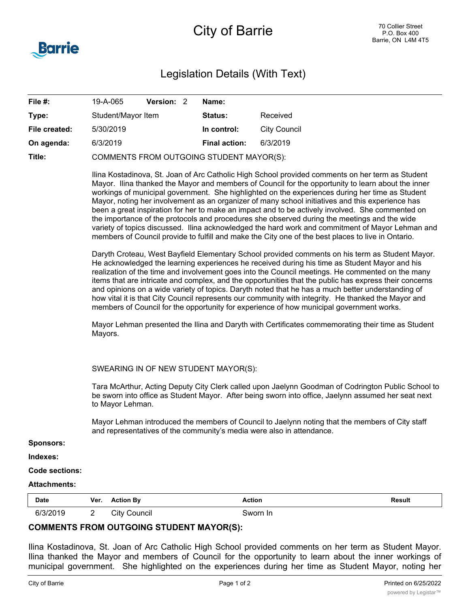

| File #:       | 19-A-065                                 | Version: 2 | Name:                |              |  |  |
|---------------|------------------------------------------|------------|----------------------|--------------|--|--|
| Type:         | Student/Mayor Item                       |            | <b>Status:</b>       | Received     |  |  |
| File created: | 5/30/2019                                |            | In control:          | City Council |  |  |
| On agenda:    | 6/3/2019                                 |            | <b>Final action:</b> | 6/3/2019     |  |  |
| Title:        | COMMENTS FROM OUTGOING STUDENT MAYOR(S): |            |                      |              |  |  |

Ilina Kostadinova, St. Joan of Arc Catholic High School provided comments on her term as Student Mayor. Ilina thanked the Mayor and members of Council for the opportunity to learn about the inner workings of municipal government. She highlighted on the experiences during her time as Student Mayor, noting her involvement as an organizer of many school initiatives and this experience has been a great inspiration for her to make an impact and to be actively involved. She commented on the importance of the protocols and procedures she observed during the meetings and the wide variety of topics discussed. Ilina acknowledged the hard work and commitment of Mayor Lehman and members of Council provide to fulfill and make the City one of the best places to live in Ontario.

Daryth Croteau, West Bayfield Elementary School provided comments on his term as Student Mayor. He acknowledged the learning experiences he received during his time as Student Mayor and his realization of the time and involvement goes into the Council meetings. He commented on the many items that are intricate and complex, and the opportunities that the public has express their concerns and opinions on a wide variety of topics. Daryth noted that he has a much better understanding of how vital it is that City Council represents our community with integrity. He thanked the Mayor and members of Council for the opportunity for experience of how municipal government works.

Mayor Lehman presented the Ilina and Daryth with Certificates commemorating their time as Student Mayors.

SWEARING IN OF NEW STUDENT MAYOR(S):

Tara McArthur, Acting Deputy City Clerk called upon Jaelynn Goodman of Codrington Public School to be sworn into office as Student Mayor. After being sworn into office, Jaelynn assumed her seat next to Mayor Lehman.

Mayor Lehman introduced the members of Council to Jaelynn noting that the members of City staff and representatives of the community's media were also in attendance.

**Sponsors:**

**Indexes:**

**Code sections:**

## **Attachments:**

| Date          | Ver.<br>the contract of the contract of the | ction Bv      | Action<br>.     | Result<br>. |
|---------------|---------------------------------------------|---------------|-----------------|-------------|
| R121001<br>n. | -                                           | اٽ<br>∶ouncıl | $\eta$ n<br>-lr |             |

## **COMMENTS FROM OUTGOING STUDENT MAYOR(S):**

Ilina Kostadinova, St. Joan of Arc Catholic High School provided comments on her term as Student Mayor. Ilina thanked the Mayor and members of Council for the opportunity to learn about the inner workings of municipal government. She highlighted on the experiences during her time as Student Mayor, noting her